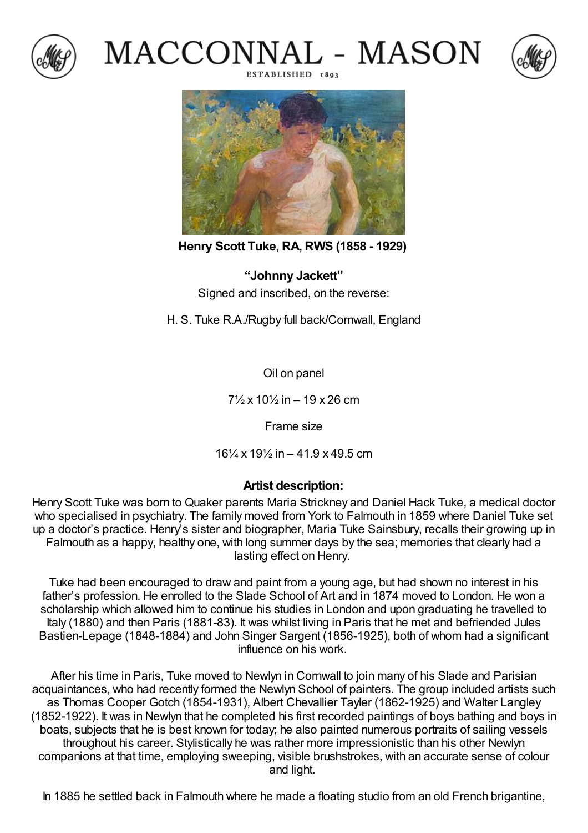

## MACCONNAL - MASON ESTABLISHED 1893





**Henry Scott Tuke, RA, RWS (1858 - 1929)**

## **"Johnny Jackett"**

Signed and inscribed, on the reverse:

H. S. Tuke R.A./Rugby full back/Cornwall, England

Oil on panel

7½ x 10½ in – 19 x 26 cm

Frame size

 $16\%$  x  $19\%$  in  $-$  41.9 x 49.5 cm

## **Artist description:**

Henry Scott Tuke was born to Quaker parents Maria Strickney and Daniel Hack Tuke, a medical doctor who specialised in psychiatry. The family moved from York to Falmouth in 1859 where Daniel Tuke set up a doctor's practice. Henry's sister and biographer, Maria Tuke Sainsbury, recalls their growing up in Falmouth as a happy, healthy one, with long summer days by the sea; memories that clearly had a lasting effect on Henry.

Tuke had been encouraged to draw and paint from a young age, but had shown no interest in his father's profession. He enrolled to the Slade School of Art and in 1874 moved to London. He won a scholarship which allowed him to continue his studies in London and upon graduating he travelled to Italy (1880) and then Paris (1881-83). It was whilst living in Paris that he met and befriended Jules Bastien-Lepage (1848-1884) and John Singer Sargent (1856-1925), both of whom had a significant influence on his work.

After his time in Paris, Tuke moved to Newlyn in Cornwall to join many of his Slade and Parisian acquaintances, who had recently formed the Newlyn School of painters. The group included artists such as Thomas Cooper Gotch (1854-1931), Albert Chevallier Tayler (1862-1925) and Walter Langley (1852-1922). It was in Newlyn that he completed his first recorded paintings of boys bathing and boys in boats, subjects that he is best known for today; he also painted numerous portraits of sailing vessels throughout his career. Stylistically he was rather more impressionistic than his other Newlyn companions at that time, employing sweeping, visible brushstrokes, with an accurate sense of colour and light.

In 1885 he settled back in Falmouth where he made a floating studio from an old French brigantine,